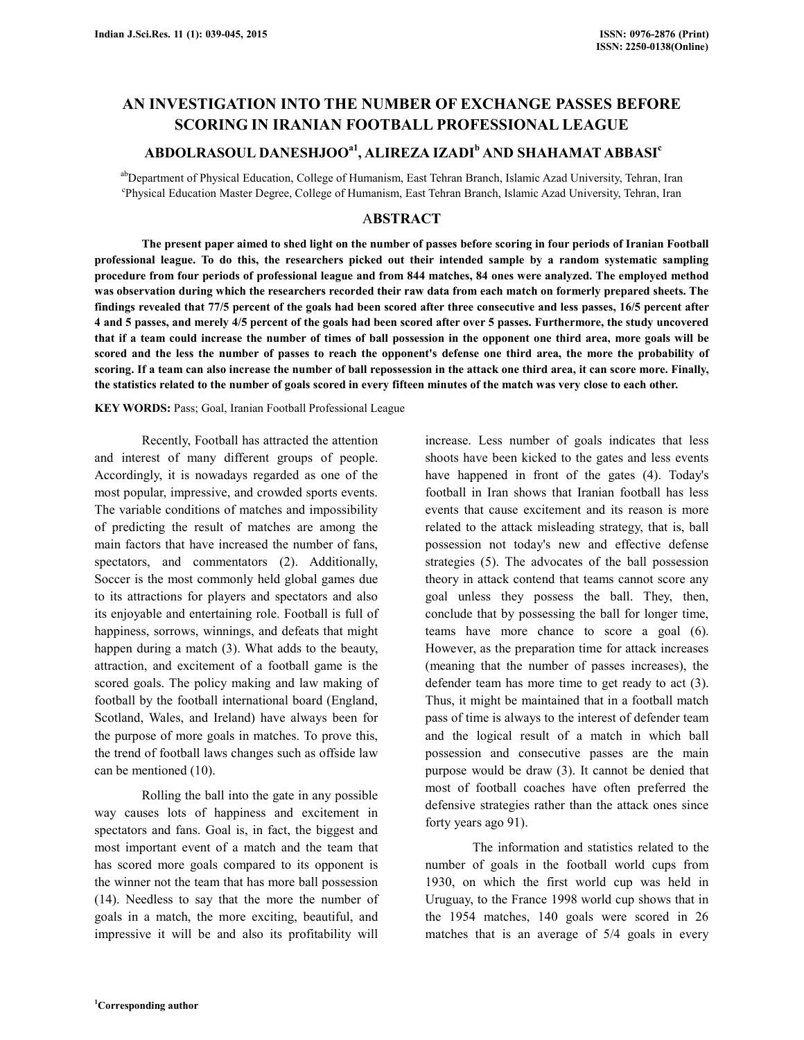# **AN INVESTIGATION INTO THE NUMBER OF EXCHANGE PASSES BEFORE SCORING IN IRANIAN FOOTBALL PROFESSIONAL LEAGUE**

# **ABDOLRASOUL DANESHJOOa1, ALIREZA IZADI<sup>b</sup> AND SHAHAMAT ABBASI<sup>c</sup>**

abDepartment of Physical Education, College of Humanism, East Tehran Branch, Islamic Azad University, Tehran, Iran c Physical Education Master Degree, College of Humanism, East Tehran Branch, Islamic Azad University, Tehran, Iran

# A**BSTRACT**

 **The present paper aimed to shed light on the number of passes before scoring in four periods of Iranian Football professional league. To do this, the researchers picked out their intended sample by a random systematic sampling procedure from four periods of professional league and from 844 matches, 84 ones were analyzed. The employed method was observation during which the researchers recorded their raw data from each match on formerly prepared sheets. The findings revealed that 77/5 percent of the goals had been scored after three consecutive and less passes, 16/5 percent after 4 and 5 passes, and merely 4/5 percent of the goals had been scored after over 5 passes. Furthermore, the study uncovered that if a team could increase the number of times of ball possession in the opponent one third area, more goals will be scored and the less the number of passes to reach the opponent's defense one third area, the more the probability of scoring. If a team can also increase the number of ball repossession in the attack one third area, it can score more. Finally, the statistics related to the number of goals scored in every fifteen minutes of the match was very close to each other.** 

**KEY WORDS:** Pass; Goal, Iranian Football Professional League

 Recently, Football has attracted the attention and interest of many different groups of people. Accordingly, it is nowadays regarded as one of the most popular, impressive, and crowded sports events. The variable conditions of matches and impossibility of predicting the result of matches are among the main factors that have increased the number of fans, spectators, and commentators (2). Additionally, Soccer is the most commonly held global games due to its attractions for players and spectators and also its enjoyable and entertaining role. Football is full of happiness, sorrows, winnings, and defeats that might happen during a match (3). What adds to the beauty, attraction, and excitement of a football game is the scored goals. The policy making and law making of football by the football international board (England, Scotland, Wales, and Ireland) have always been for the purpose of more goals in matches. To prove this, the trend of football laws changes such as offside law can be mentioned (10).

 Rolling the ball into the gate in any possible way causes lots of happiness and excitement in spectators and fans. Goal is, in fact, the biggest and most important event of a match and the team that has scored more goals compared to its opponent is the winner not the team that has more ball possession (14). Needless to say that the more the number of goals in a match, the more exciting, beautiful, and impressive it will be and also its profitability will increase. Less number of goals indicates that less shoots have been kicked to the gates and less events have happened in front of the gates (4). Today's football in Iran shows that Iranian football has less events that cause excitement and its reason is more related to the attack misleading strategy, that is, ball possession not today's new and effective defense strategies (5). The advocates of the ball possession theory in attack contend that teams cannot score any goal unless they possess the ball. They, then, conclude that by possessing the ball for longer time, teams have more chance to score a goal (6). However, as the preparation time for attack increases (meaning that the number of passes increases), the defender team has more time to get ready to act (3). Thus, it might be maintained that in a football match pass of time is always to the interest of defender team and the logical result of a match in which ball possession and consecutive passes are the main purpose would be draw (3). It cannot be denied that most of football coaches have often preferred the defensive strategies rather than the attack ones since forty years ago 91).

 The information and statistics related to the number of goals in the football world cups from 1930, on which the first world cup was held in Uruguay, to the France 1998 world cup shows that in the 1954 matches, 140 goals were scored in 26 matches that is an average of 5/4 goals in every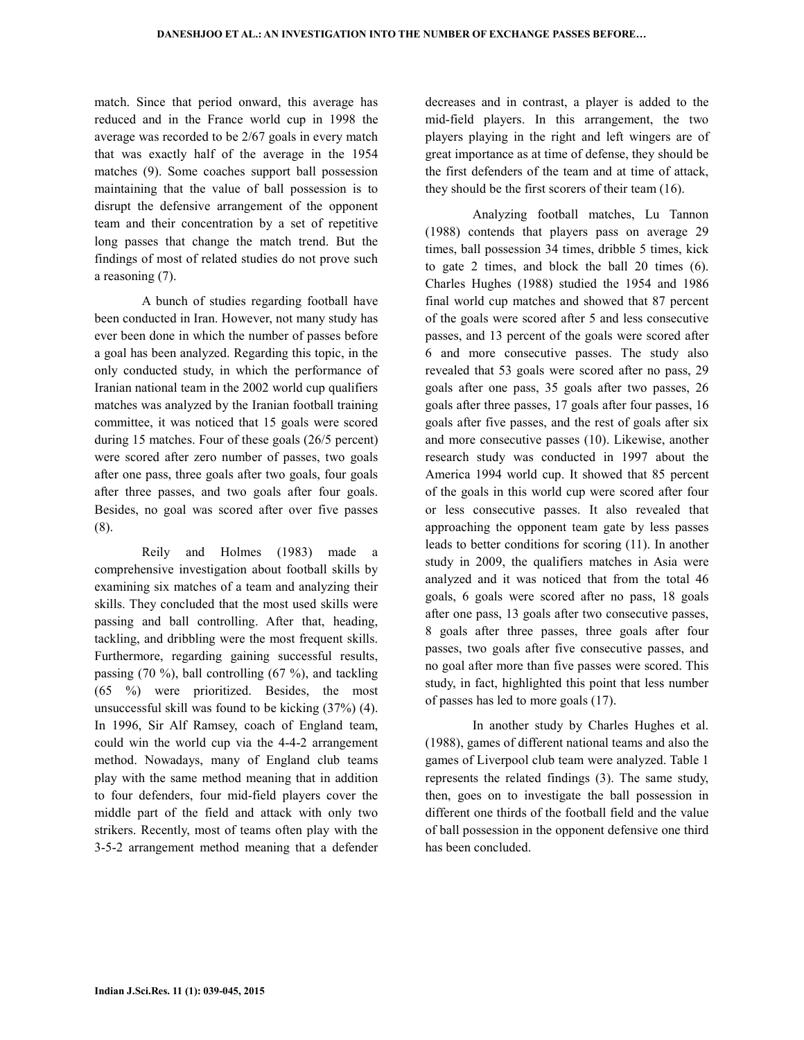match. Since that period onward, this average has reduced and in the France world cup in 1998 the average was recorded to be 2/67 goals in every match that was exactly half of the average in the 1954 matches (9). Some coaches support ball possession maintaining that the value of ball possession is to disrupt the defensive arrangement of the opponent team and their concentration by a set of repetitive long passes that change the match trend. But the findings of most of related studies do not prove such a reasoning (7).

 A bunch of studies regarding football have been conducted in Iran. However, not many study has ever been done in which the number of passes before a goal has been analyzed. Regarding this topic, in the only conducted study, in which the performance of Iranian national team in the 2002 world cup qualifiers matches was analyzed by the Iranian football training committee, it was noticed that 15 goals were scored during 15 matches. Four of these goals (26/5 percent) were scored after zero number of passes, two goals after one pass, three goals after two goals, four goals after three passes, and two goals after four goals. Besides, no goal was scored after over five passes (8).

 Reily and Holmes (1983) made a comprehensive investigation about football skills by examining six matches of a team and analyzing their skills. They concluded that the most used skills were passing and ball controlling. After that, heading, tackling, and dribbling were the most frequent skills. Furthermore, regarding gaining successful results, passing (70 %), ball controlling (67 %), and tackling (65 %) were prioritized. Besides, the most unsuccessful skill was found to be kicking (37%) (4). In 1996, Sir Alf Ramsey, coach of England team, could win the world cup via the 4-4-2 arrangement method. Nowadays, many of England club teams play with the same method meaning that in addition to four defenders, four mid-field players cover the middle part of the field and attack with only two strikers. Recently, most of teams often play with the 3-5-2 arrangement method meaning that a defender decreases and in contrast, a player is added to the mid-field players. In this arrangement, the two players playing in the right and left wingers are of great importance as at time of defense, they should be the first defenders of the team and at time of attack, they should be the first scorers of their team (16).

 Analyzing football matches, Lu Tannon (1988) contends that players pass on average 29 times, ball possession 34 times, dribble 5 times, kick to gate 2 times, and block the ball 20 times (6). Charles Hughes (1988) studied the 1954 and 1986 final world cup matches and showed that 87 percent of the goals were scored after 5 and less consecutive passes, and 13 percent of the goals were scored after 6 and more consecutive passes. The study also revealed that 53 goals were scored after no pass, 29 goals after one pass, 35 goals after two passes, 26 goals after three passes, 17 goals after four passes, 16 goals after five passes, and the rest of goals after six and more consecutive passes (10). Likewise, another research study was conducted in 1997 about the America 1994 world cup. It showed that 85 percent of the goals in this world cup were scored after four or less consecutive passes. It also revealed that approaching the opponent team gate by less passes leads to better conditions for scoring (11). In another study in 2009, the qualifiers matches in Asia were analyzed and it was noticed that from the total 46 goals, 6 goals were scored after no pass, 18 goals after one pass, 13 goals after two consecutive passes, 8 goals after three passes, three goals after four passes, two goals after five consecutive passes, and no goal after more than five passes were scored. This study, in fact, highlighted this point that less number of passes has led to more goals (17).

 In another study by Charles Hughes et al. (1988), games of different national teams and also the games of Liverpool club team were analyzed. Table 1 represents the related findings (3). The same study, then, goes on to investigate the ball possession in different one thirds of the football field and the value of ball possession in the opponent defensive one third has been concluded.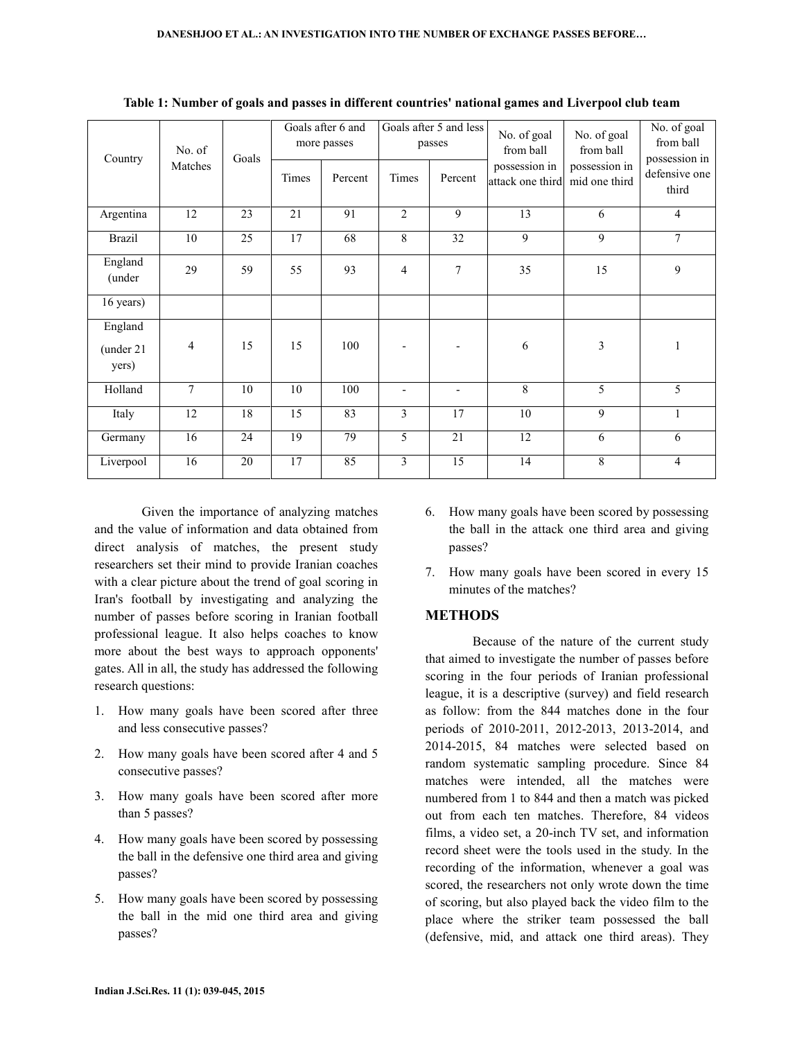| Country                       | No. of | Goals<br>Matches | Goals after 6 and<br>more passes |         | Goals after 5 and less<br>passes |                          | No. of goal<br>from ball          | No. of goal<br>from ball       | No. of goal<br>from ball                |
|-------------------------------|--------|------------------|----------------------------------|---------|----------------------------------|--------------------------|-----------------------------------|--------------------------------|-----------------------------------------|
|                               |        |                  | Times                            | Percent | Times                            | Percent                  | possession in<br>attack one third | possession in<br>mid one third | possession in<br>defensive one<br>third |
| Argentina                     | 12     | 23               | 21                               | 91      | $\overline{2}$                   | 9                        | 13                                | 6                              | $\overline{4}$                          |
| <b>Brazil</b>                 | 10     | 25               | 17                               | 68      | 8                                | 32                       | 9                                 | 9                              | $\tau$                                  |
| England<br>(under             | 29     | 59               | 55                               | 93      | $\overline{4}$                   | $\overline{7}$           | 35                                | 15                             | $\mathbf{9}$                            |
| 16 years)                     |        |                  |                                  |         |                                  |                          |                                   |                                |                                         |
| England<br>(under 21<br>yers) | 4      | 15               | 15                               | 100     |                                  |                          | 6                                 | 3                              | 1                                       |
| Holland                       | 7      | 10               | 10                               | 100     | $\blacksquare$                   | $\overline{\phantom{a}}$ | 8                                 | 5                              | 5                                       |
| Italy                         | 12     | 18               | 15                               | 83      | 3                                | 17                       | 10                                | 9                              | $\mathbf{1}$                            |
| Germany                       | 16     | 24               | 19                               | 79      | 5                                | 21                       | 12                                | 6                              | 6                                       |
| Liverpool                     | 16     | 20               | 17                               | 85      | 3                                | 15                       | 14                                | 8                              | $\overline{4}$                          |

**Table 1: Number of goals and passes in different countries' national games and Liverpool club team** 

 Given the importance of analyzing matches and the value of information and data obtained from direct analysis of matches, the present study researchers set their mind to provide Iranian coaches with a clear picture about the trend of goal scoring in Iran's football by investigating and analyzing the number of passes before scoring in Iranian football professional league. It also helps coaches to know more about the best ways to approach opponents' gates. All in all, the study has addressed the following research questions:

- 1. How many goals have been scored after three and less consecutive passes?
- 2. How many goals have been scored after 4 and 5 consecutive passes?
- 3. How many goals have been scored after more than 5 passes?
- 4. How many goals have been scored by possessing the ball in the defensive one third area and giving passes?
- 5. How many goals have been scored by possessing the ball in the mid one third area and giving passes?
- 6. How many goals have been scored by possessing the ball in the attack one third area and giving passes?
- 7. How many goals have been scored in every 15 minutes of the matches?

#### **METHODS**

 Because of the nature of the current study that aimed to investigate the number of passes before scoring in the four periods of Iranian professional league, it is a descriptive (survey) and field research as follow: from the 844 matches done in the four periods of 2010-2011, 2012-2013, 2013-2014, and 2014-2015, 84 matches were selected based on random systematic sampling procedure. Since 84 matches were intended, all the matches were numbered from 1 to 844 and then a match was picked out from each ten matches. Therefore, 84 videos films, a video set, a 20-inch TV set, and information record sheet were the tools used in the study. In the recording of the information, whenever a goal was scored, the researchers not only wrote down the time of scoring, but also played back the video film to the place where the striker team possessed the ball (defensive, mid, and attack one third areas). They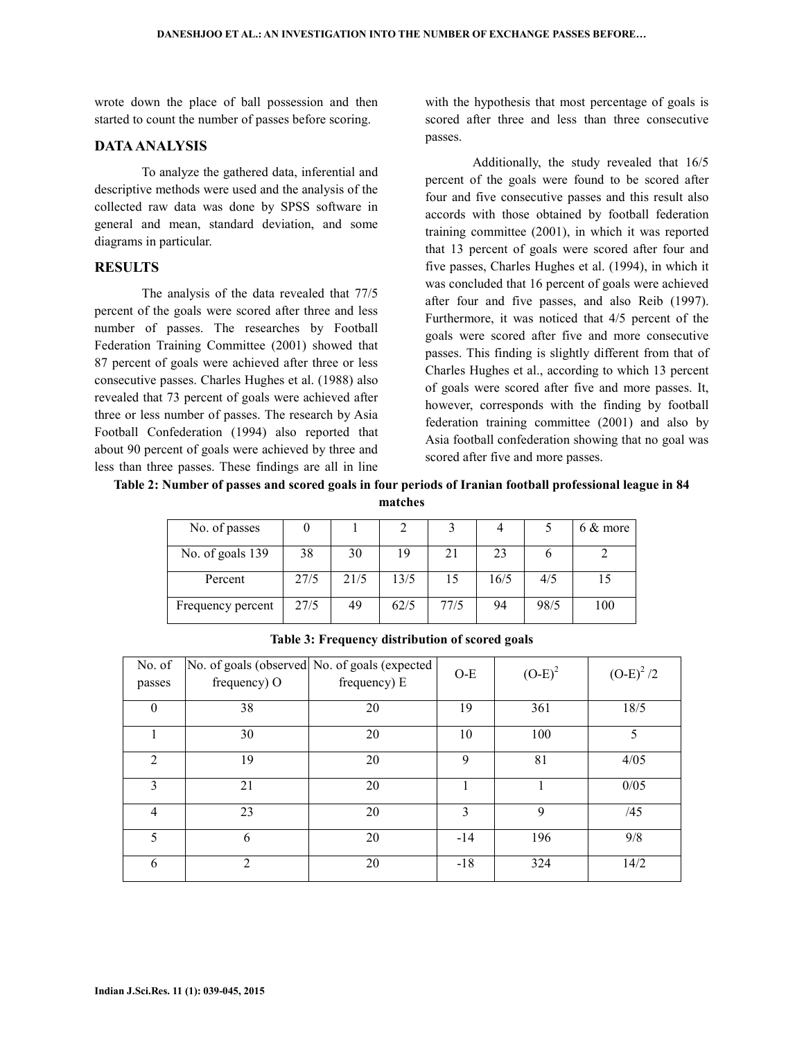wrote down the place of ball possession and then started to count the number of passes before scoring.

#### **DATA ANALYSIS**

 To analyze the gathered data, inferential and descriptive methods were used and the analysis of the collected raw data was done by SPSS software in general and mean, standard deviation, and some diagrams in particular.

## **RESULTS**

 The analysis of the data revealed that 77/5 percent of the goals were scored after three and less number of passes. The researches by Football Federation Training Committee (2001) showed that 87 percent of goals were achieved after three or less consecutive passes. Charles Hughes et al. (1988) also revealed that 73 percent of goals were achieved after three or less number of passes. The research by Asia Football Confederation (1994) also reported that about 90 percent of goals were achieved by three and less than three passes. These findings are all in line

with the hypothesis that most percentage of goals is scored after three and less than three consecutive passes.

 Additionally, the study revealed that 16/5 percent of the goals were found to be scored after four and five consecutive passes and this result also accords with those obtained by football federation training committee (2001), in which it was reported that 13 percent of goals were scored after four and five passes, Charles Hughes et al. (1994), in which it was concluded that 16 percent of goals were achieved after four and five passes, and also Reib (1997). Furthermore, it was noticed that 4/5 percent of the goals were scored after five and more consecutive passes. This finding is slightly different from that of Charles Hughes et al., according to which 13 percent of goals were scored after five and more passes. It, however, corresponds with the finding by football federation training committee (2001) and also by Asia football confederation showing that no goal was scored after five and more passes.

**Table 2: Number of passes and scored goals in four periods of Iranian football professional league in 84 matches** 

| No. of passes     |      |      |      |      |      |      | $6 & \text{more}$ |
|-------------------|------|------|------|------|------|------|-------------------|
| No. of goals 139  | 38   | 30   | 19   | 21   | 23   |      |                   |
| Percent           | 27/5 | 21/5 | 13/5 | 15   | 16/5 | 4/5  |                   |
| Frequency percent | 27/5 | 49   | 62/5 | 77/5 | 94   | 98/5 | 100               |

| No. of<br>passes | frequency) O   | No. of goals (observed No. of goals (expected<br>frequency) E | $O-E$ | $(O-E)^2$ | $(O-E)^{2}/2$ |
|------------------|----------------|---------------------------------------------------------------|-------|-----------|---------------|
| $\theta$         | 38             | 20                                                            | 19    | 361       | 18/5          |
|                  | 30             | 20                                                            | 10    | 100       | 5             |
| $\mathfrak{D}$   | 19             | 20                                                            | 9     | 81        | 4/05          |
| 3                | 21             | 20                                                            |       |           | 0/05          |
| 4                | 23             | 20                                                            | 3     | 9         | /45           |
| 5                | 6              | 20                                                            | $-14$ | 196       | 9/8           |
| 6                | $\overline{2}$ | 20                                                            | $-18$ | 324       | 14/2          |

**Table 3: Frequency distribution of scored goals**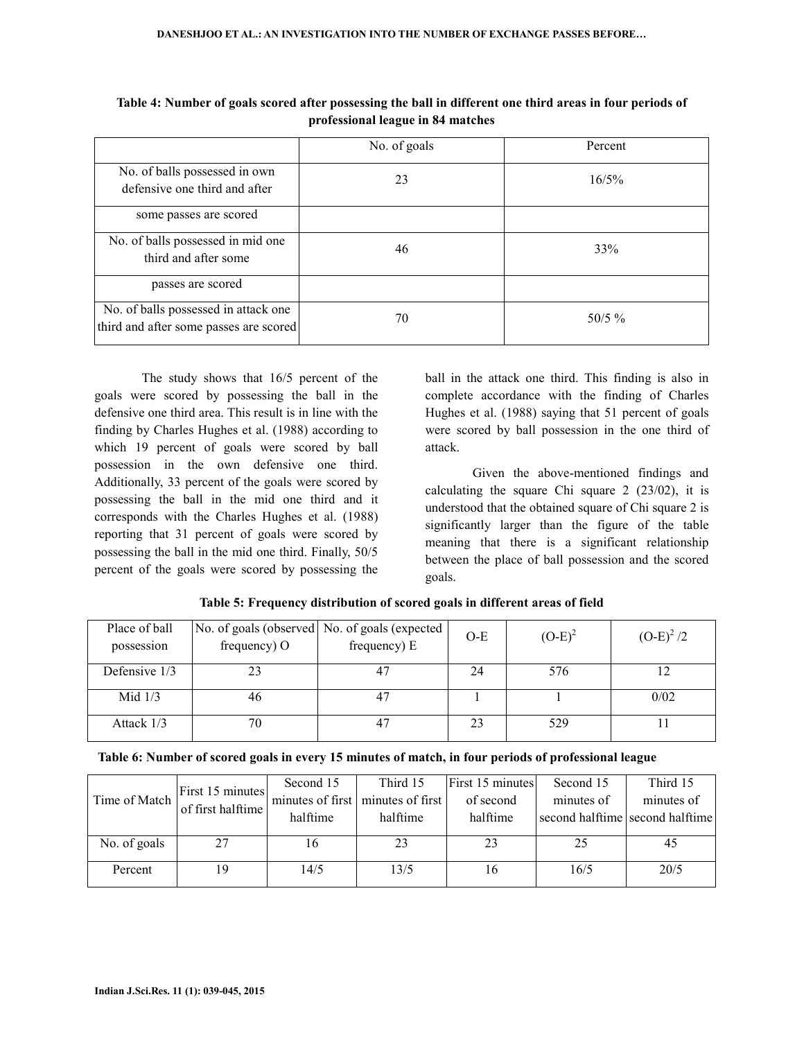|                                                                                | No. of goals | Percent   |
|--------------------------------------------------------------------------------|--------------|-----------|
| No. of balls possessed in own<br>defensive one third and after                 | 23           | 16/5%     |
| some passes are scored                                                         |              |           |
| No. of balls possessed in mid one<br>third and after some                      | 46           | 33%       |
| passes are scored                                                              |              |           |
| No. of balls possessed in attack one<br>third and after some passes are scored | 70           | $50/5 \%$ |

**Table 4: Number of goals scored after possessing the ball in different one third areas in four periods of professional league in 84 matches** 

 The study shows that 16/5 percent of the goals were scored by possessing the ball in the defensive one third area. This result is in line with the finding by Charles Hughes et al. (1988) according to which 19 percent of goals were scored by ball possession in the own defensive one third. Additionally, 33 percent of the goals were scored by possessing the ball in the mid one third and it corresponds with the Charles Hughes et al. (1988) reporting that 31 percent of goals were scored by possessing the ball in the mid one third. Finally, 50/5 percent of the goals were scored by possessing the

ball in the attack one third. This finding is also in complete accordance with the finding of Charles Hughes et al. (1988) saying that 51 percent of goals were scored by ball possession in the one third of attack.

 Given the above-mentioned findings and calculating the square Chi square  $2$  ( $23/02$ ), it is understood that the obtained square of Chi square 2 is significantly larger than the figure of the table meaning that there is a significant relationship between the place of ball possession and the scored goals.

| Place of ball<br>possession | frequency) O | No. of goals (observed No. of goals (expected<br>frequency) E | $O-E$ | $(O-E)^2$ | $(O-E)^{2}/2$ |
|-----------------------------|--------------|---------------------------------------------------------------|-------|-----------|---------------|
| Defensive $1/3$             |              | 47                                                            | 24    | 576       |               |
| Mid $1/3$                   | 46           | 4                                                             |       |           | 0/02          |
| Attack $1/3$                | 70           | 47                                                            | 23    | 529       |               |

**Table 5: Frequency distribution of scored goals in different areas of field** 

| Table 6: Number of scored goals in every 15 minutes of match, in four periods of professional league |  |  |
|------------------------------------------------------------------------------------------------------|--|--|
|                                                                                                      |  |  |

| Time of Match |                                       | Second 15 | Third 15                          | First 15 minutes | Second 15  | Third 15                        |
|---------------|---------------------------------------|-----------|-----------------------------------|------------------|------------|---------------------------------|
|               | First 15 minutes<br>of first halftime |           | minutes of first minutes of first | of second        | minutes of | minutes of                      |
|               |                                       | halftime  | halftime                          | halftime         |            | second halftime second halftime |
|               |                                       |           |                                   |                  |            |                                 |
| No. of goals  | 27                                    | 16        | 23                                | 23               | 25         | 45                              |
| Percent       | 19                                    | 14/5      | 13/5                              | 16               | 16/5       | 20/5                            |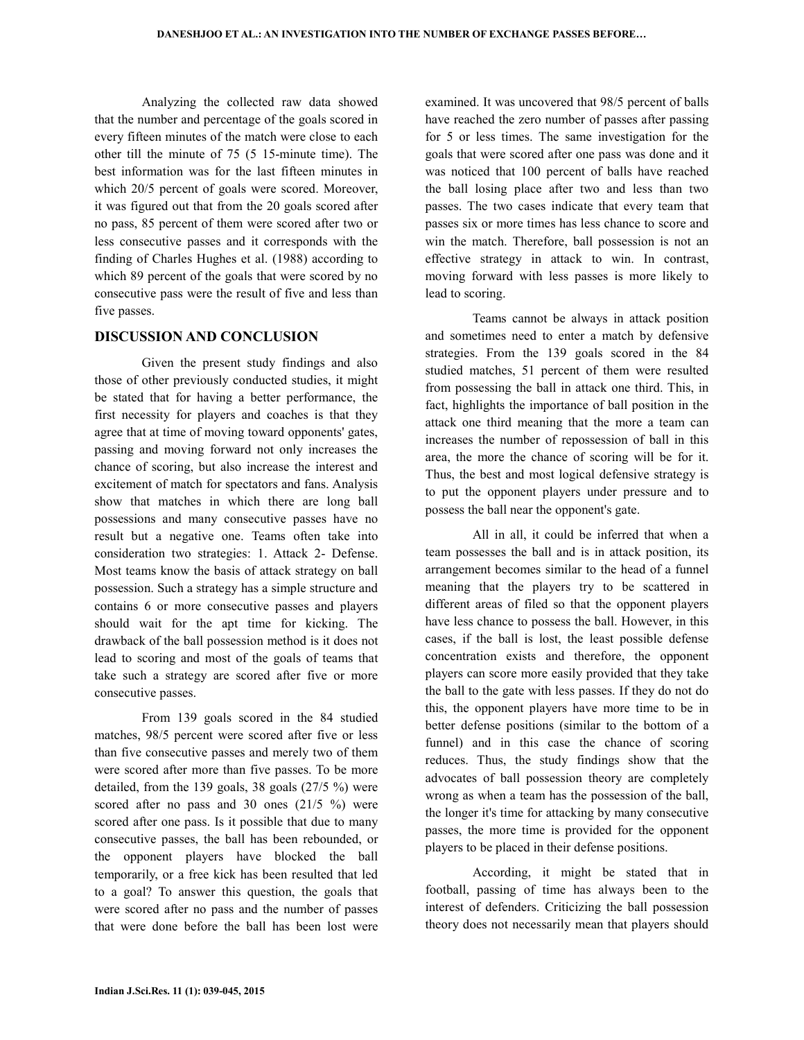Analyzing the collected raw data showed that the number and percentage of the goals scored in every fifteen minutes of the match were close to each other till the minute of 75 (5 15-minute time). The best information was for the last fifteen minutes in which 20/5 percent of goals were scored. Moreover, it was figured out that from the 20 goals scored after no pass, 85 percent of them were scored after two or less consecutive passes and it corresponds with the finding of Charles Hughes et al. (1988) according to which 89 percent of the goals that were scored by no consecutive pass were the result of five and less than five passes.

## **DISCUSSION AND CONCLUSION**

 Given the present study findings and also those of other previously conducted studies, it might be stated that for having a better performance, the first necessity for players and coaches is that they agree that at time of moving toward opponents' gates, passing and moving forward not only increases the chance of scoring, but also increase the interest and excitement of match for spectators and fans. Analysis show that matches in which there are long ball possessions and many consecutive passes have no result but a negative one. Teams often take into consideration two strategies: 1. Attack 2- Defense. Most teams know the basis of attack strategy on ball possession. Such a strategy has a simple structure and contains 6 or more consecutive passes and players should wait for the apt time for kicking. The drawback of the ball possession method is it does not lead to scoring and most of the goals of teams that take such a strategy are scored after five or more consecutive passes.

 From 139 goals scored in the 84 studied matches, 98/5 percent were scored after five or less than five consecutive passes and merely two of them were scored after more than five passes. To be more detailed, from the 139 goals, 38 goals (27/5 %) were scored after no pass and 30 ones (21/5 %) were scored after one pass. Is it possible that due to many consecutive passes, the ball has been rebounded, or the opponent players have blocked the ball temporarily, or a free kick has been resulted that led to a goal? To answer this question, the goals that were scored after no pass and the number of passes that were done before the ball has been lost were examined. It was uncovered that 98/5 percent of balls have reached the zero number of passes after passing for 5 or less times. The same investigation for the goals that were scored after one pass was done and it was noticed that 100 percent of balls have reached the ball losing place after two and less than two passes. The two cases indicate that every team that passes six or more times has less chance to score and win the match. Therefore, ball possession is not an effective strategy in attack to win. In contrast, moving forward with less passes is more likely to lead to scoring.

 Teams cannot be always in attack position and sometimes need to enter a match by defensive strategies. From the 139 goals scored in the 84 studied matches, 51 percent of them were resulted from possessing the ball in attack one third. This, in fact, highlights the importance of ball position in the attack one third meaning that the more a team can increases the number of repossession of ball in this area, the more the chance of scoring will be for it. Thus, the best and most logical defensive strategy is to put the opponent players under pressure and to possess the ball near the opponent's gate.

 All in all, it could be inferred that when a team possesses the ball and is in attack position, its arrangement becomes similar to the head of a funnel meaning that the players try to be scattered in different areas of filed so that the opponent players have less chance to possess the ball. However, in this cases, if the ball is lost, the least possible defense concentration exists and therefore, the opponent players can score more easily provided that they take the ball to the gate with less passes. If they do not do this, the opponent players have more time to be in better defense positions (similar to the bottom of a funnel) and in this case the chance of scoring reduces. Thus, the study findings show that the advocates of ball possession theory are completely wrong as when a team has the possession of the ball, the longer it's time for attacking by many consecutive passes, the more time is provided for the opponent players to be placed in their defense positions.

 According, it might be stated that in football, passing of time has always been to the interest of defenders. Criticizing the ball possession theory does not necessarily mean that players should